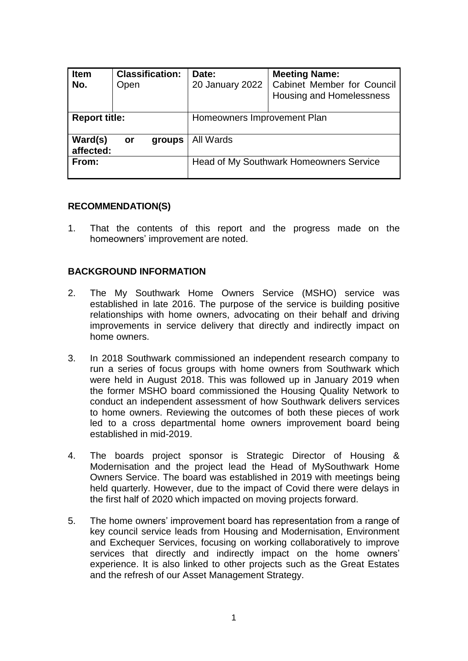| <b>Item</b><br>No.   | <b>Classification:</b><br>Open |        | Date:<br>20 January 2022                       | <b>Meeting Name:</b><br><b>Cabinet Member for Council</b><br>Housing and Homelessness |  |  |
|----------------------|--------------------------------|--------|------------------------------------------------|---------------------------------------------------------------------------------------|--|--|
| <b>Report title:</b> |                                |        | Homeowners Improvement Plan                    |                                                                                       |  |  |
| Ward(s)<br>affected: | or                             | groups | All Wards                                      |                                                                                       |  |  |
| From:                |                                |        | <b>Head of My Southwark Homeowners Service</b> |                                                                                       |  |  |

#### **RECOMMENDATION(S)**

1. That the contents of this report and the progress made on the homeowners' improvement are noted.

## **BACKGROUND INFORMATION**

- 2. The My Southwark Home Owners Service (MSHO) service was established in late 2016. The purpose of the service is building positive relationships with home owners, advocating on their behalf and driving improvements in service delivery that directly and indirectly impact on home owners.
- 3. In 2018 Southwark commissioned an independent research company to run a series of focus groups with home owners from Southwark which were held in August 2018. This was followed up in January 2019 when the former MSHO board commissioned the Housing Quality Network to conduct an independent assessment of how Southwark delivers services to home owners. Reviewing the outcomes of both these pieces of work led to a cross departmental home owners improvement board being established in mid-2019.
- 4. The boards project sponsor is Strategic Director of Housing & Modernisation and the project lead the Head of MySouthwark Home Owners Service. The board was established in 2019 with meetings being held quarterly. However, due to the impact of Covid there were delays in the first half of 2020 which impacted on moving projects forward.
- 5. The home owners' improvement board has representation from a range of key council service leads from Housing and Modernisation, Environment and Exchequer Services, focusing on working collaboratively to improve services that directly and indirectly impact on the home owners' experience. It is also linked to other projects such as the Great Estates and the refresh of our Asset Management Strategy.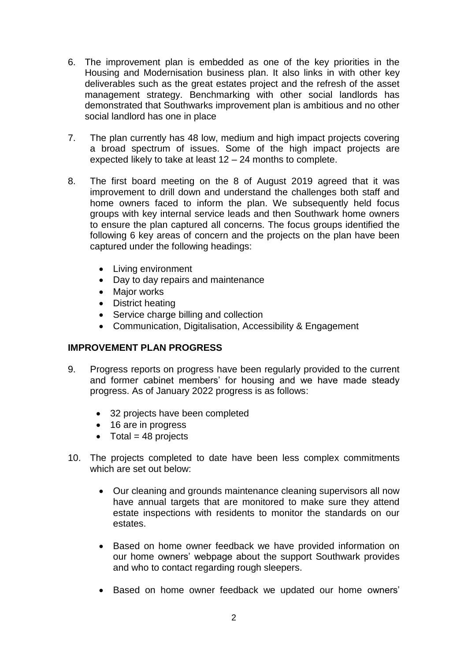- 6. The improvement plan is embedded as one of the key priorities in the Housing and Modernisation business plan. It also links in with other key deliverables such as the great estates project and the refresh of the asset management strategy. Benchmarking with other social landlords has demonstrated that Southwarks improvement plan is ambitious and no other social landlord has one in place
- 7. The plan currently has 48 low, medium and high impact projects covering a broad spectrum of issues. Some of the high impact projects are expected likely to take at least 12 – 24 months to complete.
- 8. The first board meeting on the 8 of August 2019 agreed that it was improvement to drill down and understand the challenges both staff and home owners faced to inform the plan. We subsequently held focus groups with key internal service leads and then Southwark home owners to ensure the plan captured all concerns. The focus groups identified the following 6 key areas of concern and the projects on the plan have been captured under the following headings:
	- Living environment
	- Day to day repairs and maintenance
	- Major works
	- District heating
	- Service charge billing and collection
	- Communication, Digitalisation, Accessibility & Engagement

# **IMPROVEMENT PLAN PROGRESS**

- 9. Progress reports on progress have been regularly provided to the current and former cabinet members' for housing and we have made steady progress. As of January 2022 progress is as follows:
	- 32 projects have been completed
	- 16 are in progress
	- $\bullet$  Total = 48 projects
- 10. The projects completed to date have been less complex commitments which are set out below:
	- Our cleaning and grounds maintenance cleaning supervisors all now have annual targets that are monitored to make sure they attend estate inspections with residents to monitor the standards on our estates.
	- Based on home owner feedback we have provided information on our home owners' webpage about the support Southwark provides and who to contact regarding rough sleepers.
	- Based on home owner feedback we updated our home owners'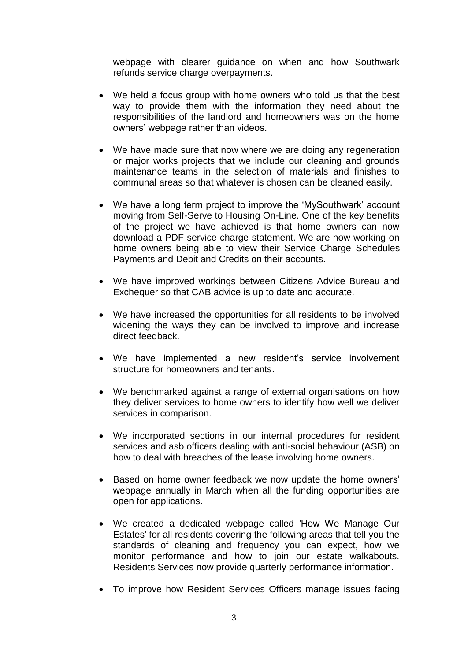webpage with clearer guidance on when and how Southwark refunds service charge overpayments.

- We held a focus group with home owners who told us that the best way to provide them with the information they need about the responsibilities of the landlord and homeowners was on the home owners' webpage rather than videos.
- We have made sure that now where we are doing any regeneration or major works projects that we include our cleaning and grounds maintenance teams in the selection of materials and finishes to communal areas so that whatever is chosen can be cleaned easily.
- We have a long term project to improve the 'MySouthwark' account moving from Self-Serve to Housing On-Line. One of the key benefits of the project we have achieved is that home owners can now download a PDF service charge statement. We are now working on home owners being able to view their Service Charge Schedules Payments and Debit and Credits on their accounts.
- We have improved workings between Citizens Advice Bureau and Exchequer so that CAB advice is up to date and accurate.
- We have increased the opportunities for all residents to be involved widening the ways they can be involved to improve and increase direct feedback.
- We have implemented a new resident's service involvement structure for homeowners and tenants.
- We benchmarked against a range of external organisations on how they deliver services to home owners to identify how well we deliver services in comparison.
- We incorporated sections in our internal procedures for resident services and asb officers dealing with anti-social behaviour (ASB) on how to deal with breaches of the lease involving home owners.
- Based on home owner feedback we now update the home owners' webpage annually in March when all the funding opportunities are open for applications.
- We created a dedicated webpage called 'How We Manage Our Estates' for all residents covering the following areas that tell you the standards of cleaning and frequency you can expect, how we monitor performance and how to join our estate walkabouts. Residents Services now provide quarterly performance information.
- To improve how Resident Services Officers manage issues facing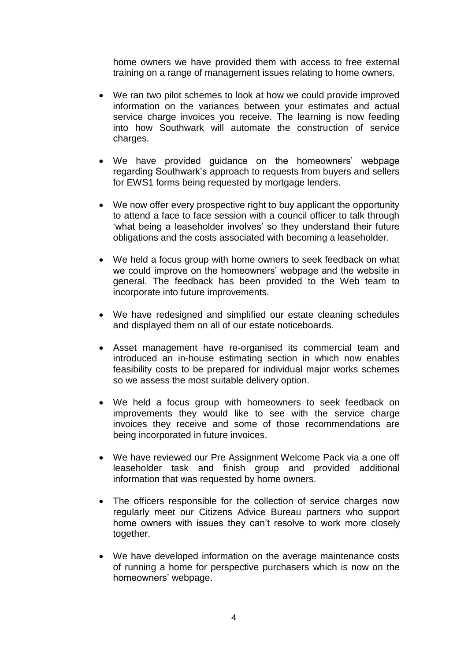home owners we have provided them with access to free external training on a range of management issues relating to home owners.

- We ran two pilot schemes to look at how we could provide improved information on the variances between your estimates and actual service charge invoices you receive. The learning is now feeding into how Southwark will automate the construction of service charges.
- We have provided guidance on the homeowners' webpage regarding Southwark's approach to requests from buyers and sellers for EWS1 forms being requested by mortgage lenders.
- We now offer every prospective right to buy applicant the opportunity to attend a face to face session with a council officer to talk through 'what being a leaseholder involves' so they understand their future obligations and the costs associated with becoming a leaseholder.
- We held a focus group with home owners to seek feedback on what we could improve on the homeowners' webpage and the website in general. The feedback has been provided to the Web team to incorporate into future improvements.
- We have redesigned and simplified our estate cleaning schedules and displayed them on all of our estate noticeboards.
- Asset management have re-organised its commercial team and introduced an in-house estimating section in which now enables feasibility costs to be prepared for individual major works schemes so we assess the most suitable delivery option.
- We held a focus group with homeowners to seek feedback on improvements they would like to see with the service charge invoices they receive and some of those recommendations are being incorporated in future invoices.
- We have reviewed our Pre Assignment Welcome Pack via a one off leaseholder task and finish group and provided additional information that was requested by home owners.
- The officers responsible for the collection of service charges now regularly meet our Citizens Advice Bureau partners who support home owners with issues they can't resolve to work more closely together.
- We have developed information on the average maintenance costs of running a home for perspective purchasers which is now on the homeowners' webpage.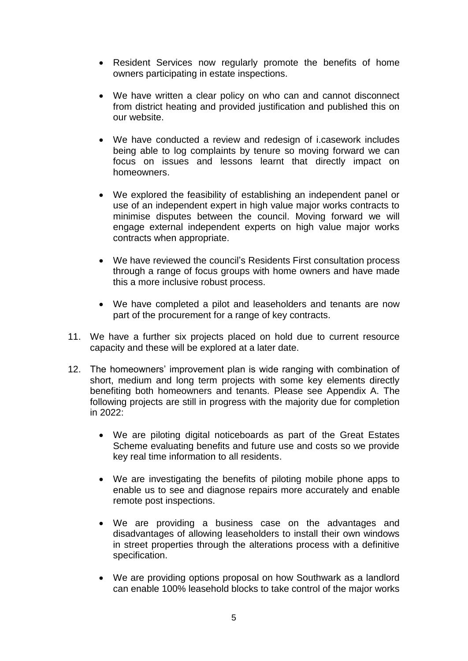- Resident Services now regularly promote the benefits of home owners participating in estate inspections.
- We have written a clear policy on who can and cannot disconnect from district heating and provided justification and published this on our website.
- We have conducted a review and redesign of i.casework includes being able to log complaints by tenure so moving forward we can focus on issues and lessons learnt that directly impact on homeowners.
- We explored the feasibility of establishing an independent panel or use of an independent expert in high value major works contracts to minimise disputes between the council. Moving forward we will engage external independent experts on high value major works contracts when appropriate.
- We have reviewed the council's Residents First consultation process through a range of focus groups with home owners and have made this a more inclusive robust process.
- We have completed a pilot and leaseholders and tenants are now part of the procurement for a range of key contracts.
- 11. We have a further six projects placed on hold due to current resource capacity and these will be explored at a later date.
- 12. The homeowners' improvement plan is wide ranging with combination of short, medium and long term projects with some key elements directly benefiting both homeowners and tenants. Please see Appendix A. The following projects are still in progress with the majority due for completion in 2022:
	- We are piloting digital noticeboards as part of the Great Estates Scheme evaluating benefits and future use and costs so we provide key real time information to all residents.
	- We are investigating the benefits of piloting mobile phone apps to enable us to see and diagnose repairs more accurately and enable remote post inspections.
	- We are providing a business case on the advantages and disadvantages of allowing leaseholders to install their own windows in street properties through the alterations process with a definitive specification.
	- We are providing options proposal on how Southwark as a landlord can enable 100% leasehold blocks to take control of the major works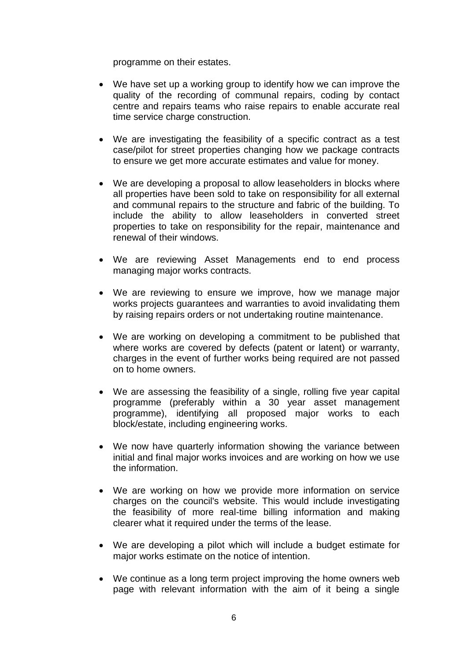programme on their estates.

- We have set up a working group to identify how we can improve the quality of the recording of communal repairs, coding by contact centre and repairs teams who raise repairs to enable accurate real time service charge construction.
- We are investigating the feasibility of a specific contract as a test case/pilot for street properties changing how we package contracts to ensure we get more accurate estimates and value for money.
- We are developing a proposal to allow leaseholders in blocks where all properties have been sold to take on responsibility for all external and communal repairs to the structure and fabric of the building. To include the ability to allow leaseholders in converted street properties to take on responsibility for the repair, maintenance and renewal of their windows.
- We are reviewing Asset Managements end to end process managing major works contracts.
- We are reviewing to ensure we improve, how we manage major works projects guarantees and warranties to avoid invalidating them by raising repairs orders or not undertaking routine maintenance.
- We are working on developing a commitment to be published that where works are covered by defects (patent or latent) or warranty, charges in the event of further works being required are not passed on to home owners.
- We are assessing the feasibility of a single, rolling five year capital programme (preferably within a 30 year asset management programme), identifying all proposed major works to each block/estate, including engineering works.
- We now have quarterly information showing the variance between initial and final major works invoices and are working on how we use the information.
- We are working on how we provide more information on service charges on the council's website. This would include investigating the feasibility of more real-time billing information and making clearer what it required under the terms of the lease.
- We are developing a pilot which will include a budget estimate for major works estimate on the notice of intention.
- We continue as a long term project improving the home owners web page with relevant information with the aim of it being a single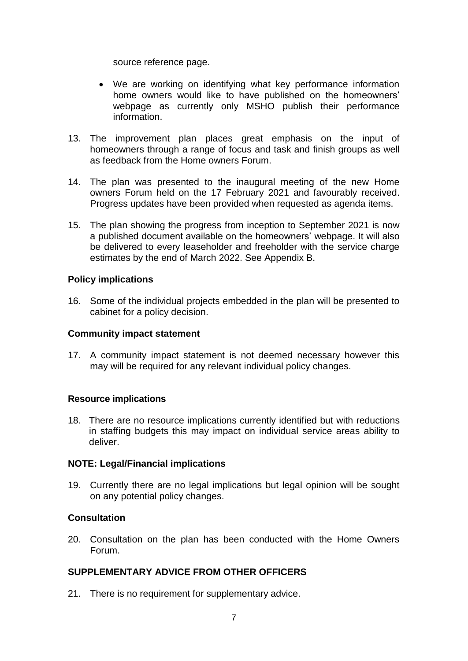source reference page.

- We are working on identifying what key performance information home owners would like to have published on the homeowners' webpage as currently only MSHO publish their performance information.
- 13. The improvement plan places great emphasis on the input of homeowners through a range of focus and task and finish groups as well as feedback from the Home owners Forum.
- 14. The plan was presented to the inaugural meeting of the new Home owners Forum held on the 17 February 2021 and favourably received. Progress updates have been provided when requested as agenda items.
- 15. The plan showing the progress from inception to September 2021 is now a published document available on the homeowners' webpage. It will also be delivered to every leaseholder and freeholder with the service charge estimates by the end of March 2022. See Appendix B.

#### **Policy implications**

16. Some of the individual projects embedded in the plan will be presented to cabinet for a policy decision.

#### **Community impact statement**

17. A community impact statement is not deemed necessary however this may will be required for any relevant individual policy changes.

# **Resource implications**

18. There are no resource implications currently identified but with reductions in staffing budgets this may impact on individual service areas ability to deliver.

# **NOTE: Legal/Financial implications**

19. Currently there are no legal implications but legal opinion will be sought on any potential policy changes.

# **Consultation**

20. Consultation on the plan has been conducted with the Home Owners Forum.

# **SUPPLEMENTARY ADVICE FROM OTHER OFFICERS**

21. There is no requirement for supplementary advice.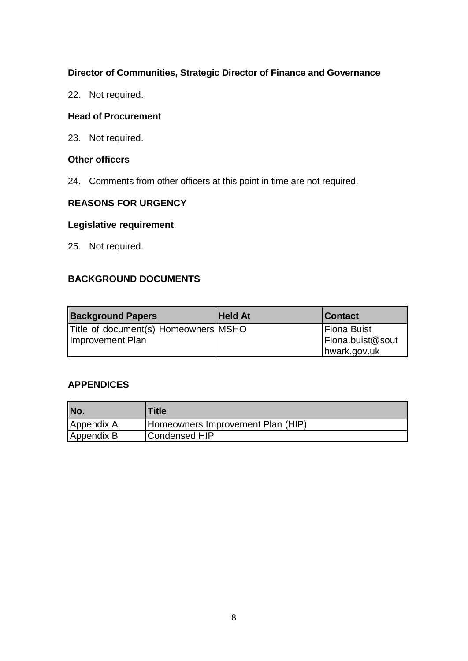## **Director of Communities, Strategic Director of Finance and Governance**

22. Not required.

## **Head of Procurement**

23. Not required.

### **Other officers**

24. Comments from other officers at this point in time are not required.

# **REASONS FOR URGENCY**

## **Legislative requirement**

25. Not required.

# **BACKGROUND DOCUMENTS**

| <b>Background Papers</b>                                 | <b>Held At</b> | <b>Contact</b>                                  |
|----------------------------------------------------------|----------------|-------------------------------------------------|
| Title of document(s) Homeowners MSHO<br>Improvement Plan |                | Fiona Buist<br>Fiona.buist@sout<br>hwark.gov.uk |

# **APPENDICES**

| No.        | <b>Title</b>                      |
|------------|-----------------------------------|
| Appendix A | Homeowners Improvement Plan (HIP) |
| Appendix B | Condensed HIP                     |